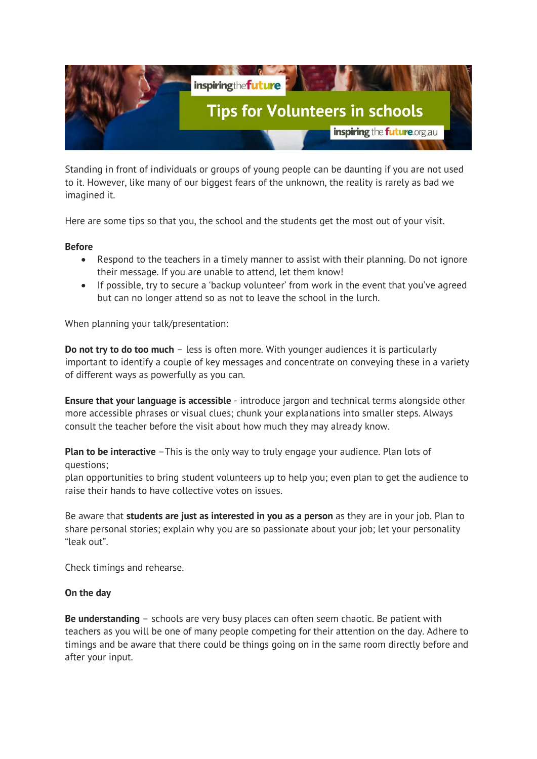

Standing in front of individuals or groups of young people can be daunting if you are not used to it. However, like many of our biggest fears of the unknown, the reality is rarely as bad we imagined it.

Here are some tips so that you, the school and the students get the most out of your visit.

## **Before**

- Respond to the teachers in a timely manner to assist with their planning. Do not ignore their message. If you are unable to attend, let them know!
- If possible, try to secure a 'backup volunteer' from work in the event that you've agreed but can no longer attend so as not to leave the school in the lurch.

When planning your talk/presentation:

**Do not try to do too much** – less is often more. With younger audiences it is particularly important to identify a couple of key messages and concentrate on conveying these in a variety of different ways as powerfully as you can.

**Ensure that your language is accessible** - introduce jargon and technical terms alongside other more accessible phrases or visual clues; chunk your explanations into smaller steps. Always consult the teacher before the visit about how much they may already know.

**Plan to be interactive** -This is the only way to truly engage your audience. Plan lots of questions;

plan opportunities to bring student volunteers up to help you; even plan to get the audience to raise their hands to have collective votes on issues.

Be aware that **students are just as interested in you as a person** as they are in your job. Plan to share personal stories; explain why you are so passionate about your job; let your personality "leak out".

Check timings and rehearse.

## **On the day**

**Be understanding** – schools are very busy places can often seem chaotic. Be patient with teachers as you will be one of many people competing for their attention on the day. Adhere to timings and be aware that there could be things going on in the same room directly before and after your input.